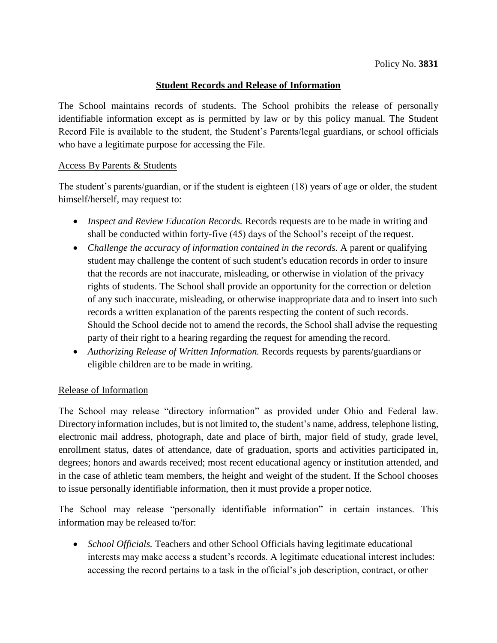### **Student Records and Release of Information**

The School maintains records of students. The School prohibits the release of personally identifiable information except as is permitted by law or by this policy manual. The Student Record File is available to the student, the Student's Parents/legal guardians, or school officials who have a legitimate purpose for accessing the File.

#### Access By Parents & Students

The student's parents/guardian, or if the student is eighteen (18) years of age or older, the student himself/herself, may request to:

- *Inspect and Review Education Records.* Records requests are to be made in writing and shall be conducted within forty-five (45) days of the School's receipt of the request.
- Challenge the accuracy of information contained in the records. A parent or qualifying student may challenge the content of such student's education records in order to insure that the records are not inaccurate, misleading, or otherwise in violation of the privacy rights of students. The School shall provide an opportunity for the correction or deletion of any such inaccurate, misleading, or otherwise inappropriate data and to insert into such records a written explanation of the parents respecting the content of such records. Should the School decide not to amend the records, the School shall advise the requesting party of their right to a hearing regarding the request for amending the record.
- *Authorizing Release of Written Information.* Records requests by parents/guardians or eligible children are to be made in writing.

#### Release of Information

The School may release "directory information" as provided under Ohio and Federal law. Directory information includes, but is not limited to, the student's name, address, telephone listing, electronic mail address, photograph, date and place of birth, major field of study, grade level, enrollment status, dates of attendance, date of graduation, sports and activities participated in, degrees; honors and awards received; most recent educational agency or institution attended, and in the case of athletic team members, the height and weight of the student. If the School chooses to issue personally identifiable information, then it must provide a proper notice.

The School may release "personally identifiable information" in certain instances. This information may be released to/for:

• *School Officials*. Teachers and other School Officials having legitimate educational interests may make access a student's records. A legitimate educational interest includes: accessing the record pertains to a task in the official's job description, contract, or other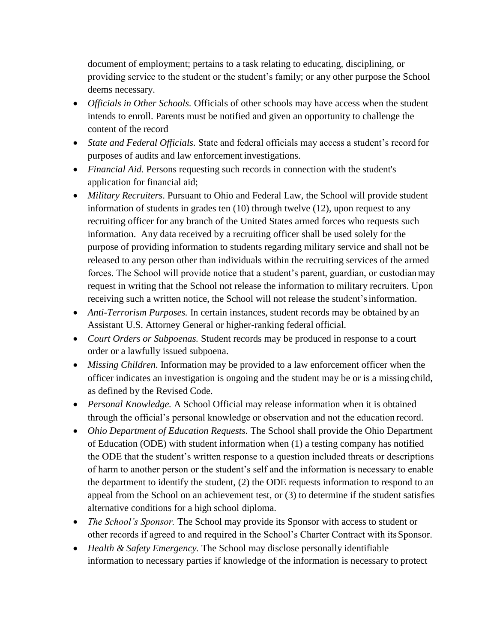document of employment; pertains to a task relating to educating, disciplining, or providing service to the student or the student's family; or any other purpose the School deems necessary.

- *Officials in Other Schools.* Officials of other schools may have access when the student intends to enroll. Parents must be notified and given an opportunity to challenge the content of the record
- *State and Federal Officials.* State and federal officials may access a student's record for purposes of audits and law enforcement investigations.
- *Financial Aid.* Persons requesting such records in connection with the student's application for financial aid;
- *Military Recruiters*. Pursuant to Ohio and Federal Law, the School will provide student information of students in grades ten (10) through twelve (12), upon request to any recruiting officer for any branch of the United States armed forces who requests such information. Any data received by a recruiting officer shall be used solely for the purpose of providing information to students regarding military service and shall not be released to any person other than individuals within the recruiting services of the armed forces. The School will provide notice that a student's parent, guardian, or custodianmay request in writing that the School not release the information to military recruiters. Upon receiving such a written notice, the School will not release the student'sinformation.
- *Anti-Terrorism Purposes.* In certain instances, student records may be obtained by an Assistant U.S. Attorney General or higher-ranking federal official.
- *Court Orders or Subpoenas.* Student records may be produced in response to a court order or a lawfully issued subpoena.
- *Missing Children*. Information may be provided to a law enforcement officer when the officer indicates an investigation is ongoing and the student may be or is a missing child, as defined by the Revised Code.
- *Personal Knowledge.* A School Official may release information when it is obtained through the official's personal knowledge or observation and not the education record.
- *Ohio Department of Education Requests.* The School shall provide the Ohio Department of Education (ODE) with student information when (1) a testing company has notified the ODE that the student's written response to a question included threats or descriptions of harm to another person or the student's self and the information is necessary to enable the department to identify the student, (2) the ODE requests information to respond to an appeal from the School on an achievement test, or (3) to determine if the student satisfies alternative conditions for a high school diploma.
- *The School's Sponsor*. The School may provide its Sponsor with access to student or other records if agreed to and required in the School's Charter Contract with itsSponsor.
- *Health & Safety Emergency.* The School may disclose personally identifiable information to necessary parties if knowledge of the information is necessary to protect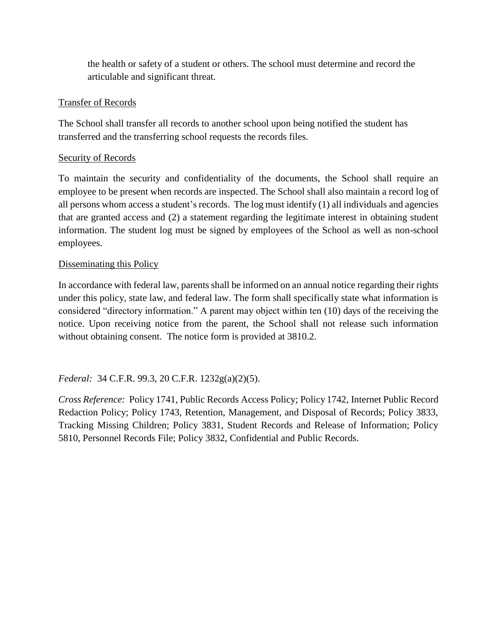the health or safety of a student or others. The school must determine and record the articulable and significant threat.

## Transfer of Records

The School shall transfer all records to another school upon being notified the student has transferred and the transferring school requests the records files.

## Security of Records

To maintain the security and confidentiality of the documents, the School shall require an employee to be present when records are inspected. The School shall also maintain a record log of all persons whom access a student's records. The log must identify (1) all individuals and agencies that are granted access and (2) a statement regarding the legitimate interest in obtaining student information. The student log must be signed by employees of the School as well as non-school employees.

## Disseminating this Policy

In accordance with federal law, parents shall be informed on an annual notice regarding their rights under this policy, state law, and federal law. The form shall specifically state what information is considered "directory information." A parent may object within ten (10) days of the receiving the notice. Upon receiving notice from the parent, the School shall not release such information without obtaining consent. The notice form is provided at 3810.2.

# *Federal:* 34 C.F.R. 99.3, 20 C.F.R. 1232g(a)(2)(5).

*Cross Reference:* Policy 1741, Public Records Access Policy; Policy 1742, Internet Public Record Redaction Policy; Policy 1743, Retention, Management, and Disposal of Records; Policy 3833, Tracking Missing Children; Policy 3831, Student Records and Release of Information; Policy 5810, Personnel Records File; Policy 3832, Confidential and Public Records.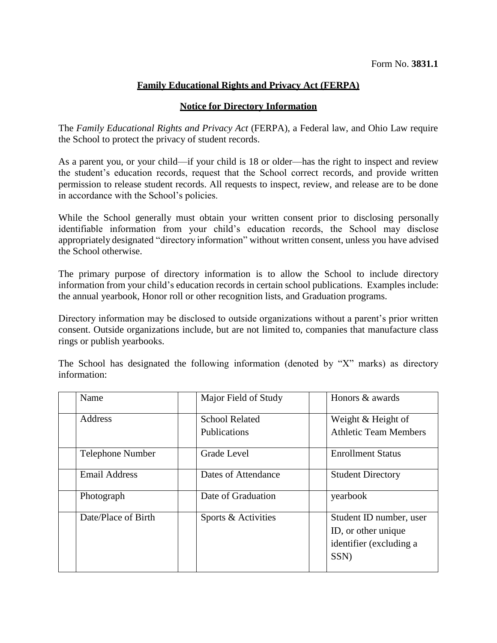### **Family Educational Rights and Privacy Act (FERPA)**

#### **Notice for Directory Information**

The *Family Educational Rights and Privacy Act* (FERPA), a Federal law, and Ohio Law require the School to protect the privacy of student records.

As a parent you, or your child—if your child is 18 or older—has the right to inspect and review the student's education records, request that the School correct records, and provide written permission to release student records. All requests to inspect, review, and release are to be done in accordance with the School's policies.

While the School generally must obtain your written consent prior to disclosing personally identifiable information from your child's education records, the School may disclose appropriately designated "directory information" without written consent, unless you have advised the School otherwise.

The primary purpose of directory information is to allow the School to include directory information from your child's education records in certain school publications. Examples include: the annual yearbook, Honor roll or other recognition lists, and Graduation programs.

Directory information may be disclosed to outside organizations without a parent's prior written consent. Outside organizations include, but are not limited to, companies that manufacture class rings or publish yearbooks.

The School has designated the following information (denoted by "X" marks) as directory information:

| Name                    | Major Field of Study  | Honors & awards              |
|-------------------------|-----------------------|------------------------------|
| Address                 | <b>School Related</b> | Weight & Height of           |
|                         | Publications          | <b>Athletic Team Members</b> |
| <b>Telephone Number</b> | Grade Level           | <b>Enrollment Status</b>     |
| <b>Email Address</b>    | Dates of Attendance   | <b>Student Directory</b>     |
| Photograph              | Date of Graduation    | yearbook                     |
| Date/Place of Birth     | Sports & Activities   | Student ID number, user      |
|                         |                       | ID, or other unique          |
|                         |                       | identifier (excluding a      |
|                         |                       | SSN)                         |